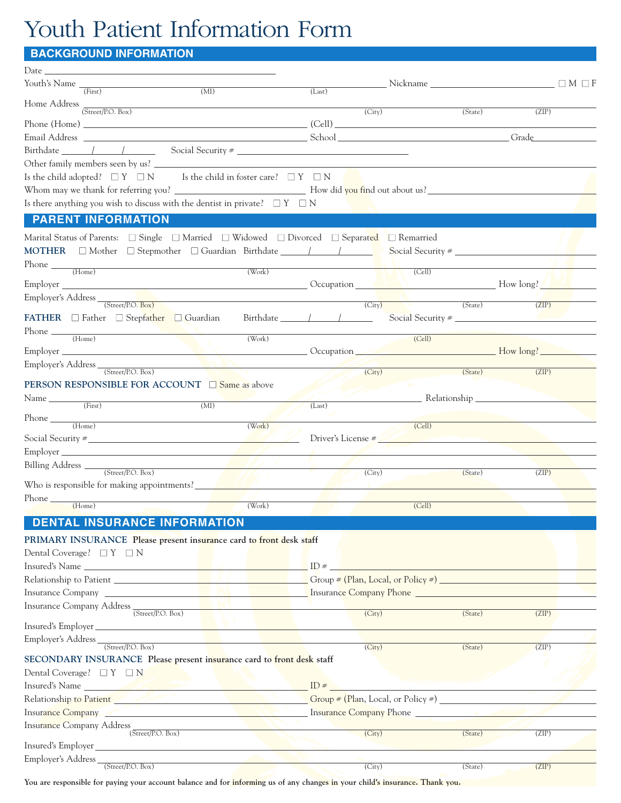## Youth Patient Information Form

## **BACKGROUND INFORMATION**

| Date __                            |                                                 |                                             |                                                                                                                          |        |        |        |                                                                                                                                                                                                                                |         |       |                 |
|------------------------------------|-------------------------------------------------|---------------------------------------------|--------------------------------------------------------------------------------------------------------------------------|--------|--------|--------|--------------------------------------------------------------------------------------------------------------------------------------------------------------------------------------------------------------------------------|---------|-------|-----------------|
|                                    |                                                 | Youth's Name $\frac{1}{(First)}$            | $\overline{\text{(MI)}}$                                                                                                 |        | (Last) |        | Nickname and the Nickname                                                                                                                                                                                                      |         |       | $\Box M \Box F$ |
|                                    |                                                 |                                             | Home Address (Street/P.O. Box)                                                                                           |        |        |        |                                                                                                                                                                                                                                |         |       |                 |
|                                    |                                                 |                                             |                                                                                                                          |        |        | (City) |                                                                                                                                                                                                                                | (State) | (ZIP) |                 |
|                                    |                                                 |                                             |                                                                                                                          |        |        |        |                                                                                                                                                                                                                                |         | Grade |                 |
|                                    |                                                 |                                             |                                                                                                                          |        |        |        |                                                                                                                                                                                                                                |         |       |                 |
|                                    |                                                 |                                             |                                                                                                                          |        |        |        |                                                                                                                                                                                                                                |         |       |                 |
|                                    |                                                 |                                             | Is the child adopted? $\Box Y \Box N$ Is the child in foster care? $\Box Y \Box N$                                       |        |        |        |                                                                                                                                                                                                                                |         |       |                 |
|                                    |                                                 |                                             |                                                                                                                          |        |        |        |                                                                                                                                                                                                                                |         |       |                 |
|                                    |                                                 |                                             | Is there anything you wish to discuss with the dentist in private? $\square Y \square N$                                 |        |        |        |                                                                                                                                                                                                                                |         |       |                 |
|                                    | <b>PARENT INFORMATION</b>                       |                                             |                                                                                                                          |        |        |        |                                                                                                                                                                                                                                |         |       |                 |
|                                    |                                                 |                                             | Marital Status of Parents: $\Box$ Single $\Box$ Married $\Box$ Widowed $\Box$ Divorced $\Box$ Separated $\Box$ Remarried |        |        |        |                                                                                                                                                                                                                                |         |       |                 |
|                                    |                                                 |                                             |                                                                                                                          |        |        |        |                                                                                                                                                                                                                                |         |       |                 |
|                                    |                                                 |                                             |                                                                                                                          |        |        |        |                                                                                                                                                                                                                                |         |       |                 |
| $Phone \_ (Home)$                  |                                                 |                                             |                                                                                                                          | (Work) |        |        | (Cell)                                                                                                                                                                                                                         |         |       |                 |
|                                    |                                                 |                                             |                                                                                                                          |        |        |        | Employer How long?                                                                                                                                                                                                             |         |       |                 |
|                                    | Employer's Address <u>(Street/P.O. Box)</u>     |                                             | <u> 1989 - Johann Barn, mars eta bat erroman erroman erroman erroman erroman erroman erroman erroman erroman err</u>     |        |        | (City) |                                                                                                                                                                                                                                | (State) | (ZIP) |                 |
|                                    |                                                 |                                             | <b>FATHER</b> $\Box$ Father $\Box$ Stepfather $\Box$ Guardian Birthdate $\Box$                                           |        |        |        | Social Security #                                                                                                                                                                                                              |         |       |                 |
| Phone $\frac{1}{\text{Home}}$      |                                                 |                                             |                                                                                                                          |        |        |        |                                                                                                                                                                                                                                |         |       |                 |
|                                    |                                                 |                                             |                                                                                                                          | (Work) |        |        | (Cell)                                                                                                                                                                                                                         |         |       |                 |
|                                    |                                                 |                                             |                                                                                                                          |        |        |        |                                                                                                                                                                                                                                |         |       |                 |
|                                    | Employer's Address <sub>(Street/P.O. Box)</sub> |                                             |                                                                                                                          |        |        | (City) |                                                                                                                                                                                                                                | (State) | (ZIP) |                 |
|                                    |                                                 |                                             | <b>PERSON RESPONSIBLE FOR ACCOUNT</b> $\Box$ Same as above                                                               |        |        |        |                                                                                                                                                                                                                                |         |       |                 |
| Name $\frac{ }{ \text{ (First)} }$ |                                                 |                                             | (MI)                                                                                                                     |        |        |        | <u>Executionship</u>                                                                                                                                                                                                           |         |       |                 |
|                                    |                                                 |                                             |                                                                                                                          |        | (Last) |        |                                                                                                                                                                                                                                |         |       |                 |
|                                    |                                                 |                                             | $Phone \_ (Home)$                                                                                                        | (Work) |        |        | (Cell)                                                                                                                                                                                                                         |         |       |                 |
|                                    |                                                 |                                             | Social Security $\frac{4}{5}$ Social Security $\frac{4}{5}$                                                              |        |        |        | Driver's License #                                                                                                                                                                                                             |         |       |                 |
|                                    |                                                 |                                             |                                                                                                                          |        |        |        |                                                                                                                                                                                                                                |         |       |                 |
|                                    | Billing Address (Street/P.O. Box)               |                                             |                                                                                                                          |        |        | (City) |                                                                                                                                                                                                                                | (State) | (ZIP) |                 |
|                                    |                                                 |                                             |                                                                                                                          |        |        |        |                                                                                                                                                                                                                                |         |       |                 |
| Phone                              |                                                 |                                             |                                                                                                                          |        |        |        |                                                                                                                                                                                                                                |         |       |                 |
|                                    | (Home)                                          |                                             |                                                                                                                          | (Work) |        |        | (Cell)                                                                                                                                                                                                                         |         |       |                 |
|                                    |                                                 |                                             | <b>DENTAL INSURANCE INFORMATION</b>                                                                                      |        |        |        |                                                                                                                                                                                                                                |         |       |                 |
|                                    |                                                 |                                             | PRIMARY INSURANCE Please present insurance card to front desk staff                                                      |        |        |        |                                                                                                                                                                                                                                |         |       |                 |
|                                    | Dental Coverage? $\Box Y \Box N$                |                                             |                                                                                                                          |        |        |        |                                                                                                                                                                                                                                |         |       |                 |
|                                    |                                                 |                                             | Insured's Name $\qquad \qquad$ ID $\#$ $\Box$                                                                            |        |        |        |                                                                                                                                                                                                                                |         |       |                 |
|                                    |                                                 |                                             |                                                                                                                          |        |        |        |                                                                                                                                                                                                                                |         |       |                 |
|                                    |                                                 |                                             |                                                                                                                          |        |        |        | Insurance Company <b>Exercía de La Company Phone Exercía de La Company Phone Exercía de La Company Phone Exercía de La Company Phone Exercía de La Company Phone Exercía de La Company Phone Exercía de La Company P</b>       |         |       |                 |
|                                    |                                                 | Insurance Company Address (Street/P.O. Box) |                                                                                                                          |        |        | (City) |                                                                                                                                                                                                                                | (State) | (ZIP) |                 |
|                                    |                                                 |                                             |                                                                                                                          |        |        |        |                                                                                                                                                                                                                                |         |       |                 |
|                                    |                                                 |                                             |                                                                                                                          |        |        |        |                                                                                                                                                                                                                                |         |       |                 |
|                                    |                                                 |                                             |                                                                                                                          |        |        | (City) |                                                                                                                                                                                                                                | (State) | (ZIP) |                 |
|                                    |                                                 |                                             | SECONDARY INSURANCE Please present insurance card to front desk staff                                                    |        |        |        |                                                                                                                                                                                                                                |         |       |                 |
|                                    | Dental Coverage? $\Box Y \Box N$                |                                             |                                                                                                                          |        |        |        |                                                                                                                                                                                                                                |         |       |                 |
|                                    |                                                 |                                             |                                                                                                                          |        |        |        |                                                                                                                                                                                                                                |         |       |                 |
|                                    |                                                 |                                             |                                                                                                                          |        |        |        | Relationship to Patient (Plan, Local, or Policy #)                                                                                                                                                                             |         |       |                 |
|                                    |                                                 |                                             |                                                                                                                          |        |        |        | Insurance Company Figure 2014 and 2016 and 2017 Insurance Company Phone 2018 and 2019 and 2019 and 2019 and 2019 and 2019 and 2019 and 2019 and 2019 and 2019 and 2019 and 2019 and 2019 and 2019 and 2019 and 2019 and 2019 a |         |       |                 |
|                                    |                                                 | Insurance Company Address (Street/P.O. Box) |                                                                                                                          |        |        | (City) |                                                                                                                                                                                                                                | (State) | (ZIP) |                 |
| Insured's Employer                 |                                                 |                                             |                                                                                                                          |        |        |        |                                                                                                                                                                                                                                |         |       |                 |
|                                    | Employer's Address <sub>(Street/P.O. Box)</sub> |                                             | <u> 1970 - John Stone Barbara (</u>                                                                                      |        |        |        |                                                                                                                                                                                                                                |         |       |                 |
|                                    |                                                 |                                             |                                                                                                                          |        |        | (City) |                                                                                                                                                                                                                                | (State) | (ZIP) |                 |

You are responsible for paying your account balance and for informing us of any changes in your child's insurance. Thank you.